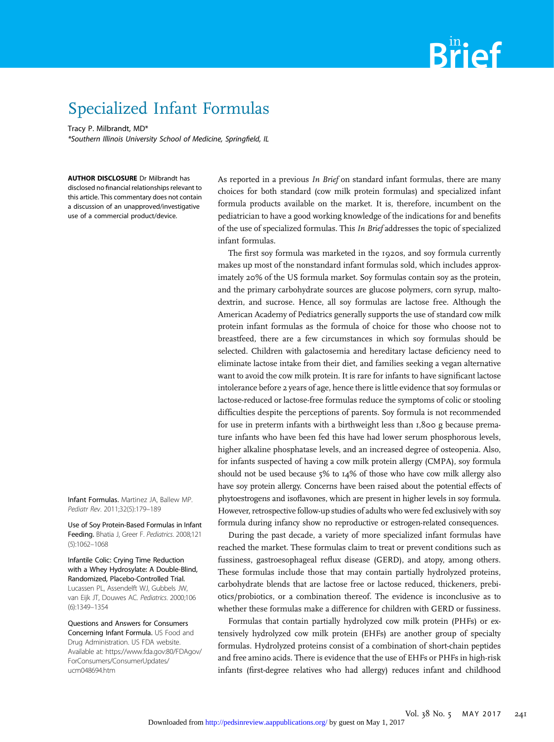

## Specialized Infant Formulas

Tracy P. Milbrandt, MD\*

\*Southern Illinois University School of Medicine, Springfield, IL

AUTHOR DISCLOSURE Dr Milbrandt has

disclosed no financial relationships relevant to this article. This commentary does not contain a discussion of an unapproved/investigative use of a commercial product/device.

Infant Formulas. Martinez JA, Ballew MP. Pediatr Rev. 2011;32(5):179–189

Use of Soy Protein-Based Formulas in Infant Feeding. Bhatia J, Greer F. Pediatrics. 2008;121 (5):1062–1068

Infantile Colic: Crying Time Reduction with a Whey Hydrosylate: A Double-Blind, Randomized, Placebo-Controlled Trial. Lucassen PL, Assendelft WJ, Gubbels JW, van Eijk JT, Douwes AC. Pediatrics. 2000;106 (6):1349–1354

Questions and Answers for Consumers Concerning Infant Formula. US Food and Drug Administration. US FDA website. Available at: [https://www.fda.gov:80/FDAgov/](https://www.fda.gov:80/FDAgov/ForConsumers/ConsumerUpdates/ucm048694.htm) [ForConsumers/ConsumerUpdates/](https://www.fda.gov:80/FDAgov/ForConsumers/ConsumerUpdates/ucm048694.htm) [ucm048694.htm](https://www.fda.gov:80/FDAgov/ForConsumers/ConsumerUpdates/ucm048694.htm)

As reported in a previous In Brief on standard infant formulas, there are many choices for both standard (cow milk protein formulas) and specialized infant formula products available on the market. It is, therefore, incumbent on the pediatrician to have a good working knowledge of the indications for and benefits of the use of specialized formulas. This In Brief addresses the topic of specialized infant formulas.

The first soy formula was marketed in the 1920s, and soy formula currently makes up most of the nonstandard infant formulas sold, which includes approximately 20% of the US formula market. Soy formulas contain soy as the protein, and the primary carbohydrate sources are glucose polymers, corn syrup, maltodextrin, and sucrose. Hence, all soy formulas are lactose free. Although the American Academy of Pediatrics generally supports the use of standard cow milk protein infant formulas as the formula of choice for those who choose not to breastfeed, there are a few circumstances in which soy formulas should be selected. Children with galactosemia and hereditary lactase deficiency need to eliminate lactose intake from their diet, and families seeking a vegan alternative want to avoid the cow milk protein. It is rare for infants to have significant lactose intolerance before 2 years of age, hence there is little evidence that soy formulas or lactose-reduced or lactose-free formulas reduce the symptoms of colic or stooling difficulties despite the perceptions of parents. Soy formula is not recommended for use in preterm infants with a birthweight less than 1,800 g because premature infants who have been fed this have had lower serum phosphorous levels, higher alkaline phosphatase levels, and an increased degree of osteopenia. Also, for infants suspected of having a cow milk protein allergy (CMPA), soy formula should not be used because 5% to 14% of those who have cow milk allergy also have soy protein allergy. Concerns have been raised about the potential effects of phytoestrogens and isoflavones, which are present in higher levels in soy formula. However, retrospective follow-up studies of adults who were fed exclusively with soy formula during infancy show no reproductive or estrogen-related consequences.

During the past decade, a variety of more specialized infant formulas have reached the market. These formulas claim to treat or prevent conditions such as fussiness, gastroesophageal reflux disease (GERD), and atopy, among others. These formulas include those that may contain partially hydrolyzed proteins, carbohydrate blends that are lactose free or lactose reduced, thickeners, prebiotics/probiotics, or a combination thereof. The evidence is inconclusive as to whether these formulas make a difference for children with GERD or fussiness.

Formulas that contain partially hydrolyzed cow milk protein (PHFs) or extensively hydrolyzed cow milk protein (EHFs) are another group of specialty formulas. Hydrolyzed proteins consist of a combination of short-chain peptides and free amino acids. There is evidence that the use of EHFs or PHFs in high-risk infants (first-degree relatives who had allergy) reduces infant and childhood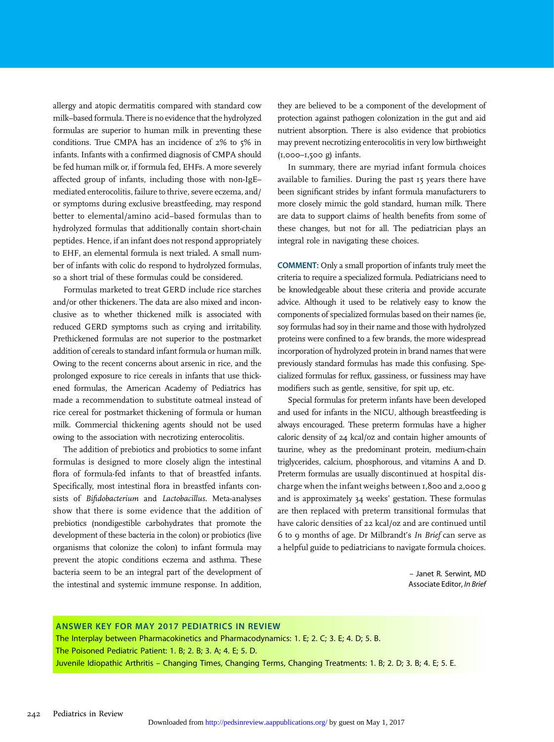allergy and atopic dermatitis compared with standard cow milk–based formula. There is no evidence that the hydrolyzed formulas are superior to human milk in preventing these conditions. True CMPA has an incidence of 2% to 5% in infants. Infants with a confirmed diagnosis of CMPA should be fed human milk or, if formula fed, EHFs. A more severely affected group of infants, including those with non-IgE– mediated enterocolitis, failure to thrive, severe eczema, and/ or symptoms during exclusive breastfeeding, may respond better to elemental/amino acid–based formulas than to hydrolyzed formulas that additionally contain short-chain peptides. Hence, if an infant does not respond appropriately to EHF, an elemental formula is next trialed. A small number of infants with colic do respond to hydrolyzed formulas, so a short trial of these formulas could be considered.

Formulas marketed to treat GERD include rice starches and/or other thickeners. The data are also mixed and inconclusive as to whether thickened milk is associated with reduced GERD symptoms such as crying and irritability. Prethickened formulas are not superior to the postmarket addition of cereals to standard infant formula or human milk. Owing to the recent concerns about arsenic in rice, and the prolonged exposure to rice cereals in infants that use thickened formulas, the American Academy of Pediatrics has made a recommendation to substitute oatmeal instead of rice cereal for postmarket thickening of formula or human milk. Commercial thickening agents should not be used owing to the association with necrotizing enterocolitis.

The addition of prebiotics and probiotics to some infant formulas is designed to more closely align the intestinal flora of formula-fed infants to that of breastfed infants. Specifically, most intestinal flora in breastfed infants consists of Bifidobacterium and Lactobacillus. Meta-analyses show that there is some evidence that the addition of prebiotics (nondigestible carbohydrates that promote the development of these bacteria in the colon) or probiotics (live organisms that colonize the colon) to infant formula may prevent the atopic conditions eczema and asthma. These bacteria seem to be an integral part of the development of the intestinal and systemic immune response. In addition,

they are believed to be a component of the development of protection against pathogen colonization in the gut and aid nutrient absorption. There is also evidence that probiotics may prevent necrotizing enterocolitis in very low birthweight  $(I,000-I,500 g)$  infants.

In summary, there are myriad infant formula choices available to families. During the past 15 years there have been significant strides by infant formula manufacturers to more closely mimic the gold standard, human milk. There are data to support claims of health benefits from some of these changes, but not for all. The pediatrician plays an integral role in navigating these choices.

COMMENT: Only a small proportion of infants truly meet the criteria to require a specialized formula. Pediatricians need to be knowledgeable about these criteria and provide accurate advice. Although it used to be relatively easy to know the components of specialized formulas based on their names (ie, soy formulas had soy in their name and those with hydrolyzed proteins were confined to a few brands, the more widespread incorporation of hydrolyzed protein in brand names that were previously standard formulas has made this confusing. Specialized formulas for reflux, gassiness, or fussiness may have modifiers such as gentle, sensitive, for spit up, etc.

Special formulas for preterm infants have been developed and used for infants in the NICU, although breastfeeding is always encouraged. These preterm formulas have a higher caloric density of 24 kcal/oz and contain higher amounts of taurine, whey as the predominant protein, medium-chain triglycerides, calcium, phosphorous, and vitamins A and D. Preterm formulas are usually discontinued at hospital discharge when the infant weighs between 1,800 and 2,000 g and is approximately 34 weeks' gestation. These formulas are then replaced with preterm transitional formulas that have caloric densities of 22 kcal/oz and are continued until 6 to 9 months of age. Dr Milbrandt's In Brief can serve as a helpful guide to pediatricians to navigate formula choices.

> – Janet R. Serwint, MD Associate Editor, In Brief

## ANSWER KEY FOR MAY 2017 PEDIATRICS IN REVIEW

The Interplay between Pharmacokinetics and Pharmacodynamics: 1. E; 2. C; 3. E; 4. D; 5. B. The Poisoned Pediatric Patient: 1. B; 2. B; 3. A; 4. E; 5. D. Juvenile Idiopathic Arthritis – Changing Times, Changing Terms, Changing Treatments: 1. B; 2. D; 3. B; 4. E; 5. E.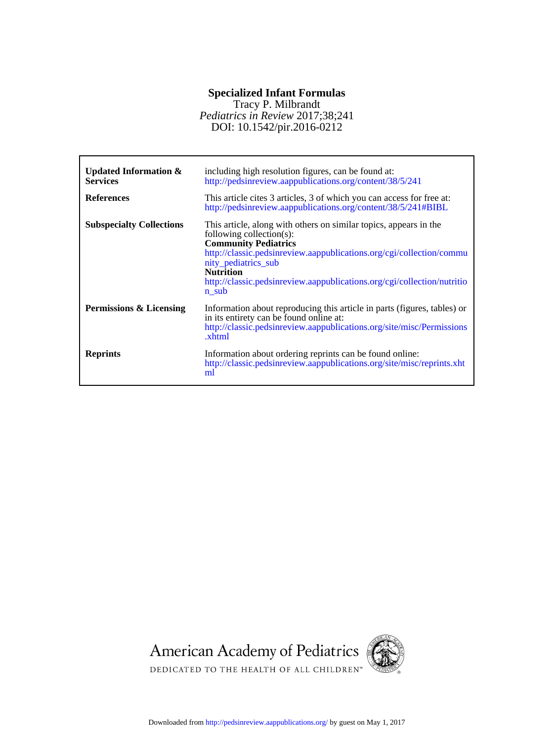## **Specialized Infant Formulas**

DOI: 10.1542/pir.2016-0212 *Pediatrics in Review* 2017;38;241 Tracy P. Milbrandt

| <b>Updated Information &amp;</b><br><b>Services</b><br><b>References</b> | including high resolution figures, can be found at:<br>http://pedsinreview.aappublications.org/content/38/5/241<br>This article cites 3 articles, 3 of which you can access for free at:               |
|--------------------------------------------------------------------------|--------------------------------------------------------------------------------------------------------------------------------------------------------------------------------------------------------|
| <b>Subspecialty Collections</b>                                          | http://pedsinreview.aappublications.org/content/38/5/241#BIBL<br>This article, along with others on similar topics, appears in the<br>following collection(s):<br><b>Community Pediatrics</b>          |
|                                                                          | http://classic.pedsinreview.aappublications.org/cgi/collection/commu<br>nity_pediatrics_sub<br><b>Nutrition</b><br>http://classic.pedsinreview.aappublications.org/cgi/collection/nutritio<br>$n$ _sub |
| Permissions & Licensing                                                  | Information about reproducing this article in parts (figures, tables) or<br>in its entirety can be found online at:<br>http://classic.pedsinreview.aappublications.org/site/misc/Permissions<br>.xhtml |
| <b>Reprints</b>                                                          | Information about ordering reprints can be found online:<br>http://classic.pedsinreview.aappublications.org/site/misc/reprints.xht<br>ml                                                               |